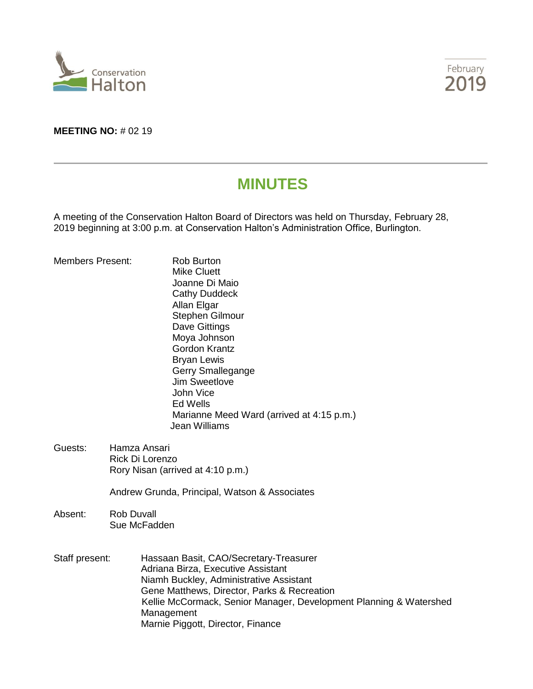



# **MEETING NO:** # 02 19

# **MINUTES**

A meeting of the Conservation Halton Board of Directors was held on Thursday, February 28, 2019 beginning at 3:00 p.m. at Conservation Halton's Administration Office, Burlington.

| <b>Members Present:</b> |                                                                      | <b>Rob Burton</b><br><b>Mike Cluett</b><br>Joanne Di Maio<br><b>Cathy Duddeck</b><br>Allan Elgar<br>Stephen Gilmour<br>Dave Gittings<br>Moya Johnson<br><b>Gordon Krantz</b><br><b>Bryan Lewis</b><br>Gerry Smallegange<br>Jim Sweetlove<br>John Vice<br><b>Ed Wells</b><br>Marianne Meed Ward (arrived at 4:15 p.m.)<br>Jean Williams |  |
|-------------------------|----------------------------------------------------------------------|----------------------------------------------------------------------------------------------------------------------------------------------------------------------------------------------------------------------------------------------------------------------------------------------------------------------------------------|--|
| Guests:                 | Hamza Ansari<br>Rick Di Lorenzo<br>Rory Nisan (arrived at 4:10 p.m.) |                                                                                                                                                                                                                                                                                                                                        |  |
|                         | Andrew Grunda, Principal, Watson & Associates                        |                                                                                                                                                                                                                                                                                                                                        |  |
| Absent:                 | <b>Rob Duvall</b><br>Sue McFadden                                    |                                                                                                                                                                                                                                                                                                                                        |  |
| Staff present:          |                                                                      | Hassaan Basit, CAO/Secretary-Treasurer<br>Adriana Birza, Executive Assistant<br>Niamh Buckley, Administrative Assistant<br>Gene Matthews, Director, Parks & Recreation<br>Kellie McCormack, Senior Manager, Development Planning & Watershed<br>Management<br>Marnie Piggott, Director, Finance                                        |  |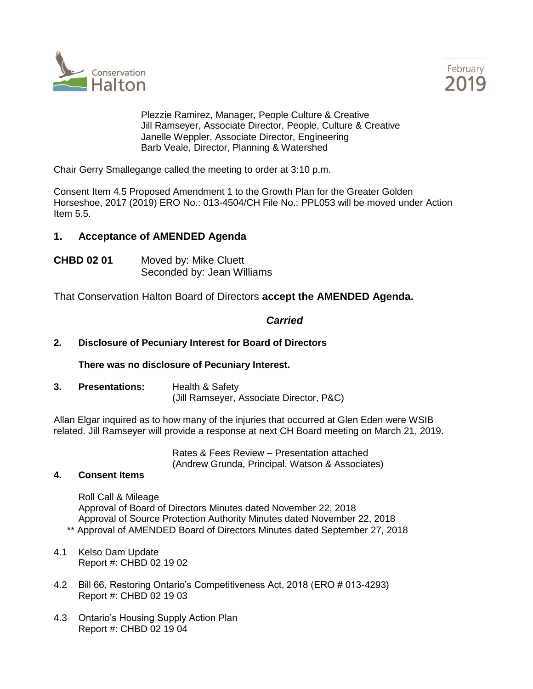



Plezzie Ramirez, Manager, People Culture & Creative Jill Ramseyer, Associate Director, People, Culture & Creative Janelle Weppler, Associate Director, Engineering Barb Veale, Director, Planning & Watershed

Chair Gerry Smallegange called the meeting to order at 3:10 p.m.

Consent Item 4.5 Proposed Amendment 1 to the Growth Plan for the Greater Golden Horseshoe, 2017 (2019) ERO No.: 013-4504/CH File No.: PPL053 will be moved under Action Item 5.5.

# **1. Acceptance of AMENDED Agenda**

**CHBD 02 01** Moved by: Mike Cluett Seconded by: Jean Williams

That Conservation Halton Board of Directors **accept the AMENDED Agenda.**

# *Carried*

# **2. Disclosure of Pecuniary Interest for Board of Directors**

**There was no disclosure of Pecuniary Interest.**

**3. Presentations:** Health & Safety (Jill Ramseyer, Associate Director, P&C)

Allan Elgar inquired as to how many of the injuries that occurred at Glen Eden were WSIB related. Jill Ramseyer will provide a response at next CH Board meeting on March 21, 2019.

> Rates & Fees Review – Presentation attached (Andrew Grunda, Principal, Watson & Associates)

### **4. Consent Items**

Roll Call & Mileage Approval of Board of Directors Minutes dated November 22, 2018 Approval of Source Protection Authority Minutes dated November 22, 2018 \*\* Approval of AMENDED Board of Directors Minutes dated September 27, 2018

- 4.1 Kelso Dam Update Report #: CHBD 02 19 02
- 4.2 Bill 66, Restoring Ontario's Competitiveness Act, 2018 (ERO # 013-4293) Report #: CHBD 02 19 03
- 4.3 Ontario's Housing Supply Action Plan Report #: CHBD 02 19 04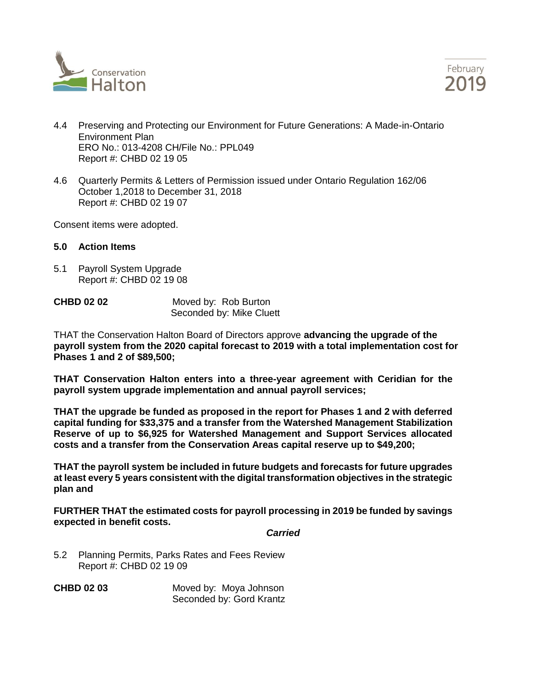



- 4.4 Preserving and Protecting our Environment for Future Generations: A Made-in-Ontario Environment Plan ERO No.: 013-4208 CH/File No.: PPL049 Report #: CHBD 02 19 05
- 4.6 Quarterly Permits & Letters of Permission issued under Ontario Regulation 162/06 October 1,2018 to December 31, 2018 Report #: CHBD 02 19 07

Consent items were adopted.

#### **5.0 Action Items**

5.1 Payroll System Upgrade Report #: CHBD 02 19 08

| <b>CHBD 02 02</b> | Moved by: Rob Burton     |
|-------------------|--------------------------|
|                   | Seconded by: Mike Cluett |

THAT the Conservation Halton Board of Directors approve **advancing the upgrade of the payroll system from the 2020 capital forecast to 2019 with a total implementation cost for Phases 1 and 2 of \$89,500;**

**THAT Conservation Halton enters into a three-year agreement with Ceridian for the payroll system upgrade implementation and annual payroll services;**

**THAT the upgrade be funded as proposed in the report for Phases 1 and 2 with deferred capital funding for \$33,375 and a transfer from the Watershed Management Stabilization Reserve of up to \$6,925 for Watershed Management and Support Services allocated costs and a transfer from the Conservation Areas capital reserve up to \$49,200;**

**THAT the payroll system be included in future budgets and forecasts for future upgrades at least every 5 years consistent with the digital transformation objectives in the strategic plan and**

**FURTHER THAT the estimated costs for payroll processing in 2019 be funded by savings expected in benefit costs.**

#### *Carried*

5.2 Planning Permits, Parks Rates and Fees Review Report #: CHBD 02 19 09

**CHBD 02 03** Moved by: Moya Johnson Seconded by: Gord Krantz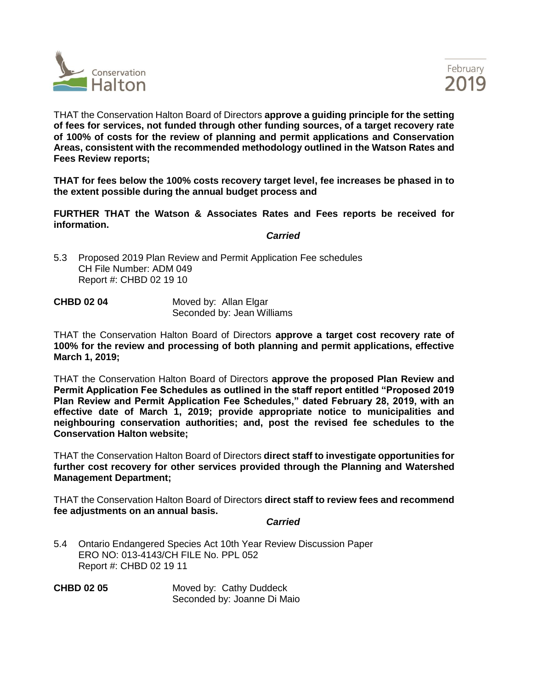



THAT the Conservation Halton Board of Directors **approve a guiding principle for the setting of fees for services, not funded through other funding sources, of a target recovery rate of 100% of costs for the review of planning and permit applications and Conservation Areas, consistent with the recommended methodology outlined in the Watson Rates and Fees Review reports;** 

**THAT for fees below the 100% costs recovery target level, fee increases be phased in to the extent possible during the annual budget process and**

**FURTHER THAT the Watson & Associates Rates and Fees reports be received for information.**

*Carried*

5.3 Proposed 2019 Plan Review and Permit Application Fee schedules CH File Number: ADM 049 Report #: CHBD 02 19 10

| <b>CHBD 02 04</b> | Moved by: Allan Elgar      |
|-------------------|----------------------------|
|                   | Seconded by: Jean Williams |

THAT the Conservation Halton Board of Directors **approve a target cost recovery rate of 100% for the review and processing of both planning and permit applications, effective March 1, 2019;** 

THAT the Conservation Halton Board of Directors **approve the proposed Plan Review and Permit Application Fee Schedules as outlined in the staff report entitled "Proposed 2019 Plan Review and Permit Application Fee Schedules," dated February 28, 2019, with an effective date of March 1, 2019; provide appropriate notice to municipalities and neighbouring conservation authorities; and, post the revised fee schedules to the Conservation Halton website;**

THAT the Conservation Halton Board of Directors **direct staff to investigate opportunities for further cost recovery for other services provided through the Planning and Watershed Management Department;**

THAT the Conservation Halton Board of Directors **direct staff to review fees and recommend fee adjustments on an annual basis.**

#### *Carried*

5.4 Ontario Endangered Species Act 10th Year Review Discussion Paper ERO NO: 013-4143/CH FILE No. PPL 052 Report #: CHBD 02 19 11

**CHBD 02 05** Moved by: Cathy Duddeck Seconded by: Joanne Di Maio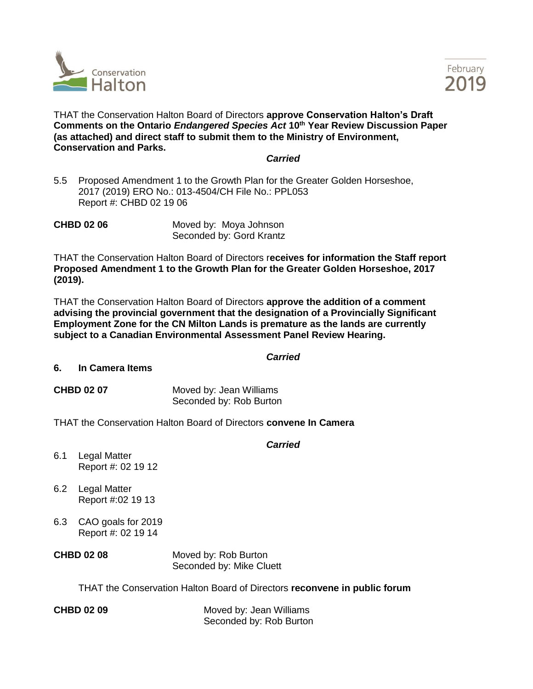



THAT the Conservation Halton Board of Directors **approve Conservation Halton's Draft Comments on the Ontario** *Endangered Species Act* **10th Year Review Discussion Paper (as attached) and direct staff to submit them to the Ministry of Environment, Conservation and Parks.**

#### *Carried*

5.5 Proposed Amendment 1 to the Growth Plan for the Greater Golden Horseshoe, 2017 (2019) ERO No.: 013-4504/CH File No.: PPL053 Report #: CHBD 02 19 06

**CHBD 02 06** Moved by: Moya Johnson Seconded by: Gord Krantz

THAT the Conservation Halton Board of Directors r**eceives for information the Staff report Proposed Amendment 1 to the Growth Plan for the Greater Golden Horseshoe, 2017 (2019).**

THAT the Conservation Halton Board of Directors **approve the addition of a comment advising the provincial government that the designation of a Provincially Significant Employment Zone for the CN Milton Lands is premature as the lands are currently subject to a Canadian Environmental Assessment Panel Review Hearing.**

#### *Carried*

#### **6. In Camera Items**

**CHBD 02 07** Moved by: Jean Williams Seconded by: Rob Burton

THAT the Conservation Halton Board of Directors **convene In Camera**

# *Carried*

- 6.1 Legal Matter Report #: 02 19 12
- 6.2 Legal Matter Report #:02 19 13
- 6.3 CAO goals for 2019 Report #: 02 19 14
- **CHBD 02 08** Moved by: Rob Burton Seconded by: Mike Cluett

THAT the Conservation Halton Board of Directors **reconvene in public forum**

**CHBD 02 09** Moved by: Jean Williams Seconded by: Rob Burton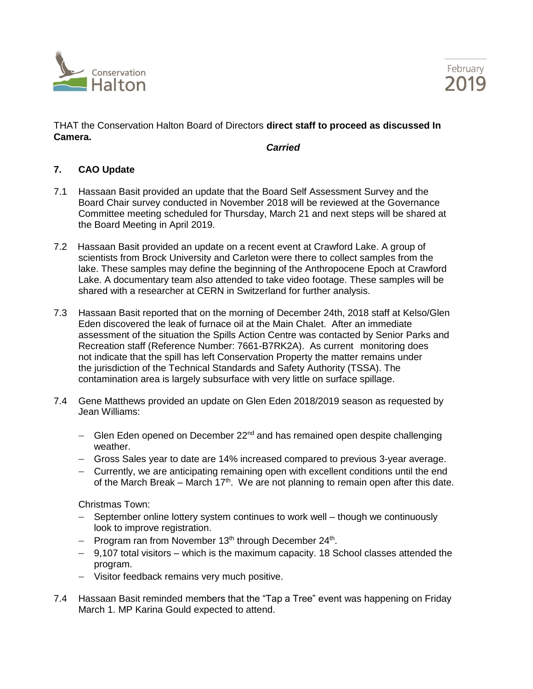



THAT the Conservation Halton Board of Directors **direct staff to proceed as discussed In Camera.** 

*Carried*

# **7. CAO Update**

- 7.1 Hassaan Basit provided an update that the Board Self Assessment Survey and the Board Chair survey conducted in November 2018 will be reviewed at the Governance Committee meeting scheduled for Thursday, March 21 and next steps will be shared at the Board Meeting in April 2019.
- 7.2 Hassaan Basit provided an update on a recent event at Crawford Lake. A group of scientists from Brock University and Carleton were there to collect samples from the lake. These samples may define the beginning of the Anthropocene Epoch at Crawford Lake. A documentary team also attended to take video footage. These samples will be shared with a researcher at CERN in Switzerland for further analysis.
- 7.3 Hassaan Basit reported that on the morning of December 24th, 2018 staff at Kelso/Glen Eden discovered the leak of furnace oil at the Main Chalet. After an immediate assessment of the situation the Spills Action Centre was contacted by Senior Parks and Recreation staff (Reference Number: 7661-B7RK2A). As current monitoring does not indicate that the spill has left Conservation Property the matter remains under the jurisdiction of the Technical Standards and Safety Authority (TSSA). The contamination area is largely subsurface with very little on surface spillage.
- 7.4 Gene Matthews provided an update on Glen Eden 2018/2019 season as requested by Jean Williams:
	- − Glen Eden opened on December 22<sup>nd</sup> and has remained open despite challenging weather.
	- − Gross Sales year to date are 14% increased compared to previous 3-year average.
	- − Currently, we are anticipating remaining open with excellent conditions until the end of the March Break – March 17<sup>th</sup>. We are not planning to remain open after this date.

Christmas Town:

- − September online lottery system continues to work well though we continuously look to improve registration.
- − Program ran from November 13<sup>th</sup> through December 24<sup>th</sup>.
- − 9,107 total visitors which is the maximum capacity. 18 School classes attended the program.
- − Visitor feedback remains very much positive.
- 7.4 Hassaan Basit reminded members that the "Tap a Tree" event was happening on Friday March 1. MP Karina Gould expected to attend.